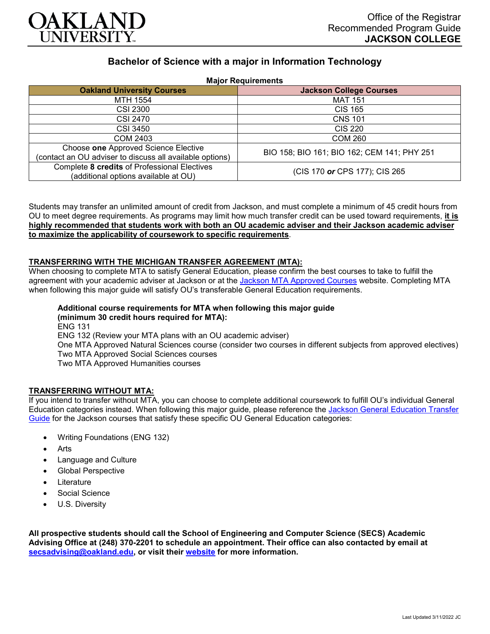

# **Bachelor of Science with a major in Information Technology**

**Major Requirements**

| 1.141                                                                                            |                                             |
|--------------------------------------------------------------------------------------------------|---------------------------------------------|
| <b>Oakland University Courses</b>                                                                | <b>Jackson College Courses</b>              |
| MTH 1554                                                                                         | <b>MAT 151</b>                              |
| <b>CSI 2300</b>                                                                                  | <b>CIS 165</b>                              |
| CSI 2470                                                                                         | <b>CNS 101</b>                              |
| CSI 3450                                                                                         | CIS 220                                     |
| <b>COM 2403</b>                                                                                  | <b>COM 260</b>                              |
| Choose one Approved Science Elective<br>(contact an OU adviser to discuss all available options) | BIO 158; BIO 161; BIO 162; CEM 141; PHY 251 |
| Complete 8 credits of Professional Electives<br>(additional options available at OU)             | (CIS 170 or CPS 177); CIS 265               |

Students may transfer an unlimited amount of credit from Jackson, and must complete a minimum of 45 credit hours from OU to meet degree requirements. As programs may limit how much transfer credit can be used toward requirements, **it is highly recommended that students work with both an OU academic adviser and their Jackson academic adviser to maximize the applicability of coursework to specific requirements**.

#### **TRANSFERRING WITH THE MICHIGAN TRANSFER AGREEMENT (MTA):**

When choosing to complete MTA to satisfy General Education, please confirm the best courses to take to fulfill the agreement with your academic adviser at Jackson or at the [Jackson MTA Approved Courses](https://www.jccmi.edu/transfer/michigan-transfer-agreement/) website. Completing MTA when following this major guide will satisfy OU's transferable General Education requirements.

### **Additional course requirements for MTA when following this major guide (minimum 30 credit hours required for MTA):**

ENG 131 ENG 132 (Review your MTA plans with an OU academic adviser) One MTA Approved Natural Sciences course (consider two courses in different subjects from approved electives) Two MTA Approved Social Sciences courses Two MTA Approved Humanities courses

#### **TRANSFERRING WITHOUT MTA:**

If you intend to transfer without MTA, you can choose to complete additional coursework to fulfill OU's individual General Education categories instead. When following this major guide, please reference the [Jackson General Education Transfer](https://www.oakland.edu/Assets/Oakland/program-guides/jackson-college/university-general-education-requirements/Jackson%20Gen%20Ed.pdf)  [Guide](https://www.oakland.edu/Assets/Oakland/program-guides/jackson-college/university-general-education-requirements/Jackson%20Gen%20Ed.pdf) for the Jackson courses that satisfy these specific OU General Education categories:

- Writing Foundations (ENG 132)
- **Arts**
- Language and Culture
- Global Perspective
- **Literature**
- Social Science
- U.S. Diversity

**All prospective students should call the School of Engineering and Computer Science (SECS) Academic Advising Office at (248) 370-2201 to schedule an appointment. Their office can also contacted by email at [secsadvising@oakland.edu,](mailto:secsadvising@oakland.edu) or visit their [website](https://wwwp.oakland.edu/secs/advising/) for more information.**